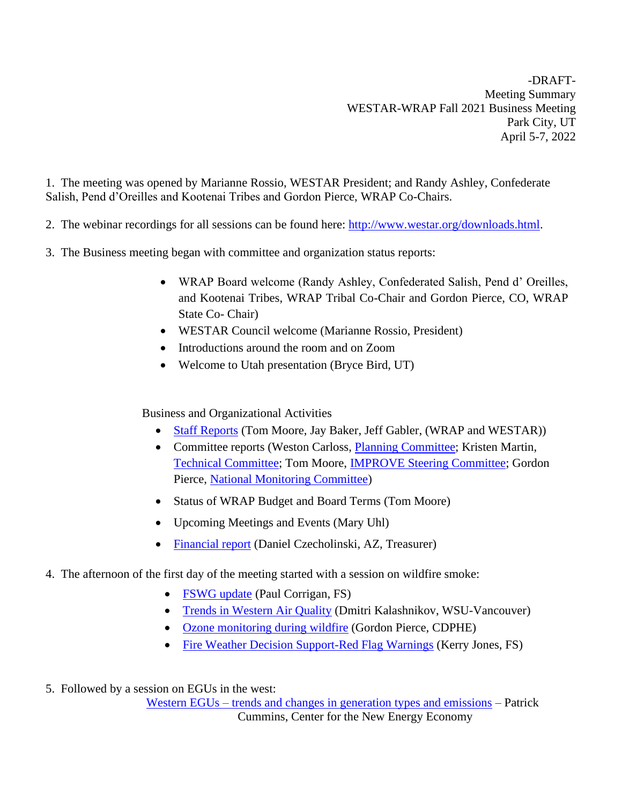-DRAFT-Meeting Summary WESTAR-WRAP Fall 2021 Business Meeting Park City, UT April 5-7, 2022

1. The meeting was opened by Marianne Rossio, WESTAR President; and Randy Ashley, Confederate Salish, Pend d'Oreilles and Kootenai Tribes and Gordon Pierce, WRAP Co-Chairs.

- 2. The webinar recordings for all sessions can be found here: [http://www.westar.org/downloads.html.](http://www.westar.org/downloads.html)
- 3. The Business meeting began with committee and organization status reports:
	- WRAP Board welcome (Randy Ashley, Confederated Salish, Pend d' Oreilles, and Kootenai Tribes, WRAP Tribal Co-Chair and Gordon Pierce, CO, WRAP State Co- Chair)
	- WESTAR Council welcome (Marianne Rossio, President)
	- Introductions around the room and on Zoom
	- Welcome to Utah presentation (Bryce Bird, UT)

Business and Organizational Activities

- [Staff Reports](http://www.westar.org/Docs/Business%20Meetings/spring22/Staff%20Reports%20-%202022%20Spring%20Business%20Meeting.pdf) (Tom Moore, Jay Baker, Jeff Gabler, (WRAP and WESTAR))
- Committee reports (Weston Carloss, [Planning Committee;](http://www.westar.org/Docs/Business%20Meetings/spring22/WESTAR%20Spring%202022%20Business%20Meeting%204-2022%20rev4.pdf) Kristen Martin, [Technical Committee;](http://www.westar.org/Docs/Business%20Meetings/spring22/WESTAR_TechCommitteeSpring2022_draft.pdf) Tom Moore, [IMPROVE Steering Committee;](http://www.westar.org/Docs/Business%20Meetings/spring22/IMPROVE%20program%20report%20April5_2022.pdf) Gordon Pierce, [National Monitoring Committee\)](http://www.westar.org/Docs/Business%20Meetings/spring22/Monitoring%20Steering%20Committee%20Report%2004052022.pdf)
- Status of WRAP Budget and Board Terms (Tom Moore)
- Upcoming Meetings and Events (Mary Uhl)
- [Financial report](http://www.westar.org/Docs/Business%20Meetings/spring22/Financial%20Status%20spring%202022.pdf) (Daniel Czecholinski, AZ, Treasurer)
- 4. The afternoon of the first day of the meeting started with a session on wildfire smoke:
	- [FSWG update](http://www.westar.org/Docs/Business%20Meetings/spring22/FSWG%20for%20Westar-WRAP%20(1).pdf) (Paul Corrigan, FS)
	- [Trends in Western Air Quality](http://www.westar.org/Docs/Business%20Meetings/spring22/westar_slides_kalashnikov%20(2).pdf) (Dmitri Kalashnikov, WSU-Vancouver)
	- [Ozone monitoring during wildfire](http://www.westar.org/Docs/Business%20Meetings/spring22/Ozone%20Monitoring%20Durinig%20Wildfires_04052022.pdf) (Gordon Pierce, CDPHE)
	- [Fire Weather Decision Support-Red Flag Warnings](http://www.westar.org/Docs/Business%20Meetings/spring22/RedFlag_DSS_2022%20(1).pdf) (Kerry Jones, FS)

5. Followed by a session on EGUs in the west: Western EGUs – [trends and changes in generation types and emissions](http://www.westar.org/Docs/Business%20Meetings/spring22/westar%20cummins.pdf) – Patrick Cummins, Center for the New Energy Economy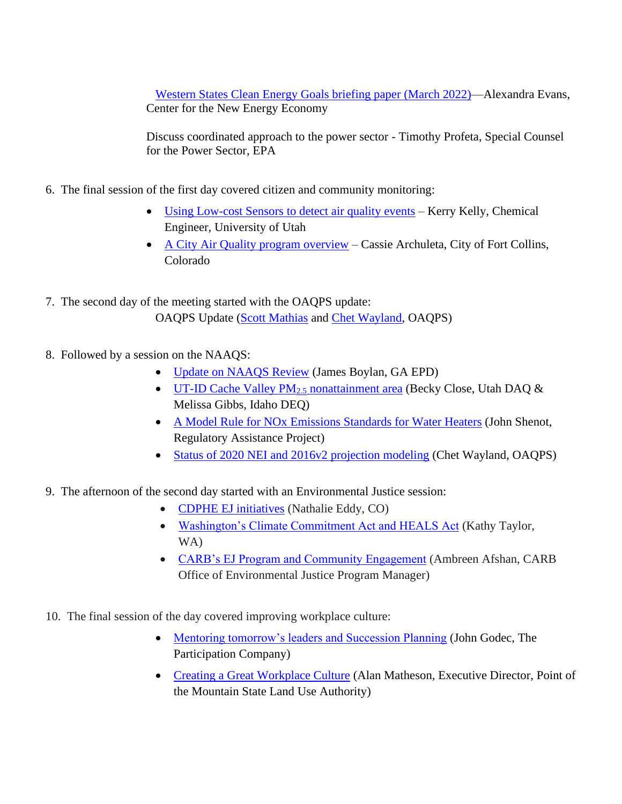[Western States Clean Energy Goals briefing paper \(March 2022\)—](http://www.westar.org/Docs/Business%20Meetings/spring22/Western%20States%20Clean%20Energy%20Goals.pdf)Alexandra Evans, Center for the New Energy Economy

Discuss coordinated approach to the power sector - Timothy Profeta, Special Counsel for the Power Sector, EPA

- 6. The final session of the first day covered citizen and community monitoring:
	- [Using Low-cost Sensors to detect air quality events](http://www.westar.org/Docs/Business%20Meetings/spring22/WestarKelly.pdf) Kerry Kelly, Chemical Engineer, University of Utah
	- [A City Air Quality program overview](http://www.westar.org/Docs/Business%20Meetings/spring22/20220405%20FINAL%20AQ%20Overview%20WRAP_archuleta.pdf) Cassie Archuleta, City of Fort Collins, Colorado
- 7. The second day of the meeting started with the OAQPS update: OAQPS Update [\(Scott Mathias](http://www.westar.org/Docs/Business%20Meetings/spring22/Mathias_WESTAR_Spring2022_4-6-22.pdf) and [Chet Wayland,](http://www.westar.org/Docs/Business%20Meetings/spring22/Wayland%20Technical%20Updates%20WESTAR%20Spring%202022%20(4).pdf) OAQPS)
- 8. Followed by a session on the NAAQS:
	- [Update on NAAQS Review](http://www.westar.org/Docs/Business%20Meetings/spring22/Boylan_CASAC_Ozone_PM_Review_04-06-2022.pdf) (James Boylan, GA EPD)
	- [UT-ID Cache Valley PM](http://www.westar.org/Docs/Business%20Meetings/spring22/WESTAR%20Logan,%20UT-ID%20PM2.5%20presentation_FINAL.pdf)<sub>2.5</sub> nonattainment area (Becky Close, Utah DAQ & Melissa Gibbs, Idaho DEQ)
	- [A Model Rule for NOx Emissions Standards for Water Heaters](http://www.westar.org/Docs/Business%20Meetings/spring22/RAP_Shenot_NOxNOx_WESTAR_2022_APR_06.pdf) (John Shenot, Regulatory Assistance Project)
	- [Status of 2020 NEI and 2016v2 projection](http://www.westar.org/Docs/Business%20Meetings/spring22/Wayland%20NAAQS%20Session%20WESTAR%20Spring%202022.pdf) modeling (Chet Wayland, OAQPS)
- 9. The afternoon of the second day started with an Environmental Justice session:
	- [CDPHE EJ initiatives](http://www.westar.org/Docs/Business%20Meetings/spring22/WESTAR%20-%20Nathalie%20-%204_6_22.pptx.pdf) (Nathalie Eddy, CO)
	- [Washington's Climate Commitment Act and HEALS Act](http://www.westar.org/Docs/Business%20Meetings/spring22/Taylor%20WESTAR%20WRAP%20Spring%202022.pdf) (Kathy Taylor, WA)
	- [CARB's EJ Program and Community Engagement](http://www.westar.org/Docs/Business%20Meetings/spring22/WESTAR%20&%20WRAP%20Spring%20Meeting_%20April%206th%202022-AA%20(1).pdf) (Ambreen Afshan, CARB Office of Environmental Justice Program Manager)
- 10. The final session of the day covered improving workplace culture:
	- [Mentoring tomorrow's leaders and Succession Planning](http://www.westar.org/Docs/Business%20Meetings/spring22/Godec%20WESTAR%20PDF.pdf) (John Godec, The Participation Company)
	- [Creating a Great Workplace Culture](http://www.westar.org/Docs/Business%20Meetings/spring22/Creating%20Positive%20Organizational%20Culture.pdf) (Alan Matheson, Executive Director, Point of the Mountain State Land Use Authority)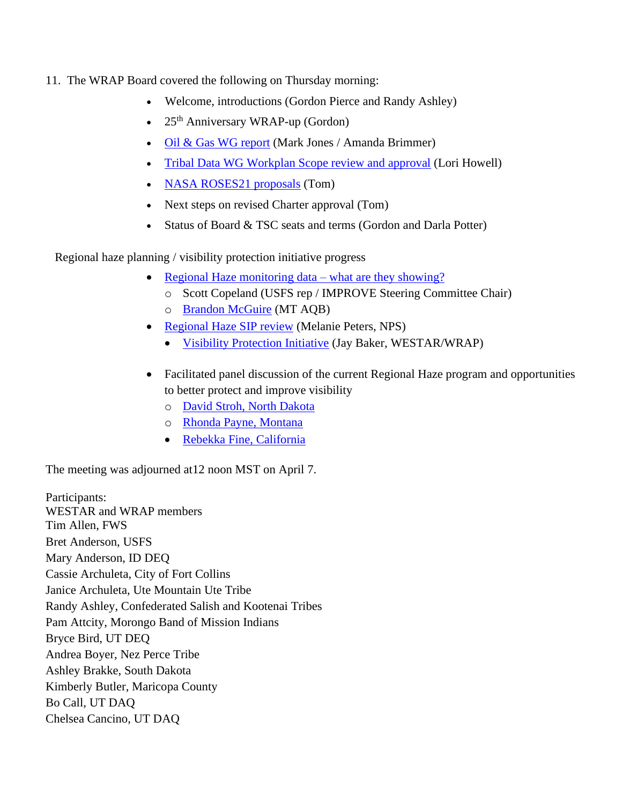- 11. The WRAP Board covered the following on Thursday morning:
	- Welcome, introductions (Gordon Pierce and Randy Ashley)
	- $25<sup>th</sup>$  Anniversary WRAP-up (Gordon)
	- [Oil & Gas WG report](http://www.westar.org/Docs/Business%20Meetings/spring22/OGWG_report_April7_2022_Final.pdf) (Mark Jones / Amanda Brimmer)
	- [Tribal Data WG Workplan Scope review and approval](http://www.wrapair2.org/pdf/TDWG%20Workplan%20Scope%20approved%20by%20WG%20March15_2022%20meeting2.pdf) (Lori Howell)
	- [NASA ROSES21 proposals](http://www.westar.org/Docs/Business%20Meetings/spring22/NASA%20ROSES2021%20funding%20for%20April7_2022.pdf) (Tom)
	- Next steps on revised Charter approval (Tom)
	- Status of Board & TSC seats and terms (Gordon and Darla Potter)

Regional haze planning / visibility protection initiative progress

- [Regional Haze monitoring data –](http://www.westar.org/Docs/Business%20Meetings/spring22/Copeland%20Status%20of%20IMPROVE%20Network%20and%20Trends%204_7_2022%20(1).pdf) what are they showing?
	- o Scott Copeland (USFS rep / IMPROVE Steering Committee Chair)
	- o [Brandon McGuire](http://www.westar.org/Docs/Business%20Meetings/spring22/WESTAR_WRAP_spring2022_BMcGuire.pdf) (MT AQB)
- [Regional Haze SIP review](http://www.westar.org/Docs/Business%20Meetings/spring22/NPS-SIP-ReviewPres_WESTAR-WRAP_Spring-2022-Slides2.pdf) (Melanie Peters, NPS)
	- [Visibility Protection Initiative](http://www.westar.org/Docs/Business%20Meetings/spring22/WVPPI_Outline%20and%20Themes.pdf) (Jay Baker, WESTAR/WRAP)
- Facilitated panel discussion of the current Regional Haze program and opportunities to better protect and improve visibility
	- o [David Stroh, North Dakota](http://www.westar.org/Docs/Business%20Meetings/spring22/North%20Dakota%20Regional%20Haze.pdf)
	- o [Rhonda Payne, Montana](http://www.westar.org/Docs/Business%20Meetings/spring22/WESTAR-WRAP%20Spring%20Business%20Meeting%204.7.22_MT_web_Payne.pdf)
	- [Rebekka Fine, California](http://www.westar.org/Docs/Business%20Meetings/spring22/Regional%20Haze%20Panel%2004.07.2022_Fine.pdf)

The meeting was adjourned at12 noon MST on April 7.

Participants: WESTAR and WRAP members Tim Allen, FWS Bret Anderson, USFS Mary Anderson, ID DEQ Cassie Archuleta, City of Fort Collins Janice Archuleta, Ute Mountain Ute Tribe Randy Ashley, Confederated Salish and Kootenai Tribes Pam Attcity, Morongo Band of Mission Indians Bryce Bird, UT DEQ Andrea Boyer, Nez Perce Tribe Ashley Brakke, South Dakota Kimberly Butler, Maricopa County Bo Call, UT DAQ Chelsea Cancino, UT DAQ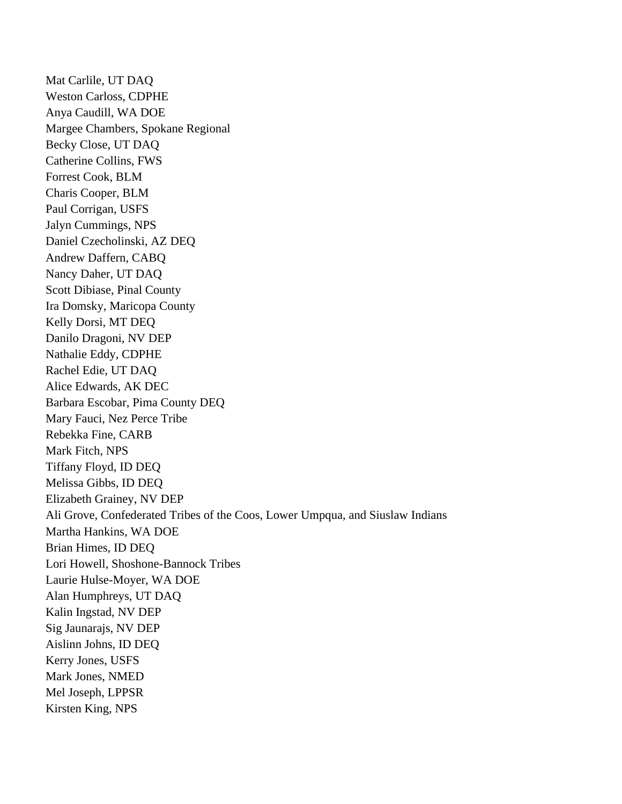Mat Carlile, UT DAQ Weston Carloss, CDPHE Anya Caudill, WA DOE Margee Chambers, Spokane Regional Becky Close, UT DAQ Catherine Collins, FWS Forrest Cook, BLM Charis Cooper, BLM Paul Corrigan, USFS Jalyn Cummings, NPS Daniel Czecholinski, AZ DEQ Andrew Daffern, CABQ Nancy Daher, UT DAQ Scott Dibiase, Pinal County Ira Domsky, Maricopa County Kelly Dorsi, MT DEQ Danilo Dragoni, NV DEP Nathalie Eddy, CDPHE Rachel Edie, UT DAQ Alice Edwards, AK DEC Barbara Escobar, Pima County DEQ Mary Fauci, Nez Perce Tribe Rebekka Fine, CARB Mark Fitch, NPS Tiffany Floyd, ID DEQ Melissa Gibbs, ID DEQ Elizabeth Grainey, NV DEP Ali Grove, Confederated Tribes of the Coos, Lower Umpqua, and Siuslaw Indians Martha Hankins, WA DOE Brian Himes, ID DEQ Lori Howell, Shoshone-Bannock Tribes Laurie Hulse-Moyer, WA DOE Alan Humphreys, UT DAQ Kalin Ingstad, NV DEP Sig Jaunarajs, NV DEP Aislinn Johns, ID DEQ Kerry Jones, USFS Mark Jones, NMED Mel Joseph, LPPSR Kirsten King, NPS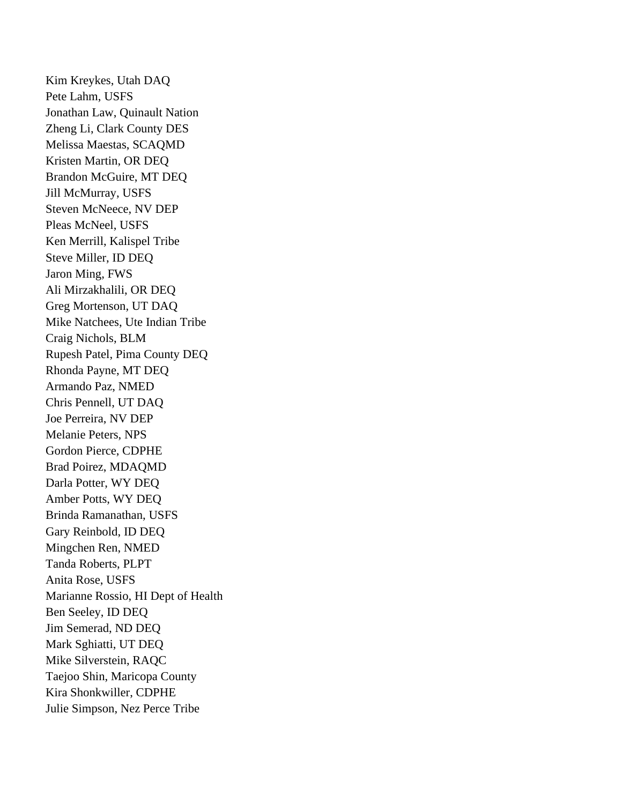Kim Kreykes, Utah DAQ Pete Lahm, USFS Jonathan Law, Quinault Nation Zheng Li, Clark County DES Melissa Maestas, SCAQMD Kristen Martin, OR DEQ Brandon McGuire, MT DEQ Jill McMurray, USFS Steven McNeece, NV DEP Pleas McNeel, USFS Ken Merrill, Kalispel Tribe Steve Miller, ID DEQ Jaron Ming, FWS Ali Mirzakhalili, OR DEQ Greg Mortenson, UT DAQ Mike Natchees, Ute Indian Tribe Craig Nichols, BLM Rupesh Patel, Pima County DEQ Rhonda Payne, MT DEQ Armando Paz, NMED Chris Pennell, UT DAQ Joe Perreira, NV DEP Melanie Peters, NPS Gordon Pierce, CDPHE Brad Poirez, MDAQMD Darla Potter, WY DEQ Amber Potts, WY DEQ Brinda Ramanathan, USFS Gary Reinbold, ID DEQ Mingchen Ren, NMED Tanda Roberts, PLPT Anita Rose, USFS Marianne Rossio, HI Dept of Health Ben Seeley, ID DEQ Jim Semerad, ND DEQ Mark Sghiatti, UT DEQ Mike Silverstein, RAQC Taejoo Shin, Maricopa County Kira Shonkwiller, CDPHE Julie Simpson, Nez Perce Tribe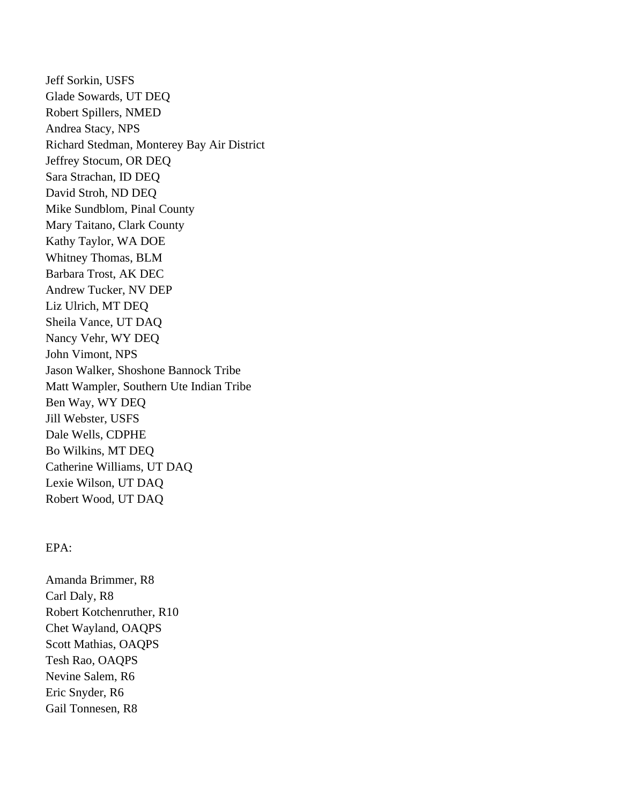Jeff Sorkin, USFS Glade Sowards, UT DEQ Robert Spillers, NMED Andrea Stacy, NPS Richard Stedman, Monterey Bay Air District Jeffrey Stocum, OR DEQ Sara Strachan, ID DEQ David Stroh, ND DEQ Mike Sundblom, Pinal County Mary Taitano, Clark County Kathy Taylor, WA DOE Whitney Thomas, BLM Barbara Trost, AK DEC Andrew Tucker, NV DEP Liz Ulrich, MT DEQ Sheila Vance, UT DAQ Nancy Vehr, WY DEQ John Vimont, NPS Jason Walker, Shoshone Bannock Tribe Matt Wampler, Southern Ute Indian Tribe Ben Way, WY DEQ Jill Webster, USFS Dale Wells, CDPHE Bo Wilkins, MT DEQ Catherine Williams, UT DAQ Lexie Wilson, UT DAQ Robert Wood, UT DAQ

## EPA:

Amanda Brimmer, R8 Carl Daly, R8 Robert Kotchenruther, R10 Chet Wayland, OAQPS Scott Mathias, OAQPS Tesh Rao, OAQPS Nevine Salem, R6 Eric Snyder, R6 Gail Tonnesen, R8